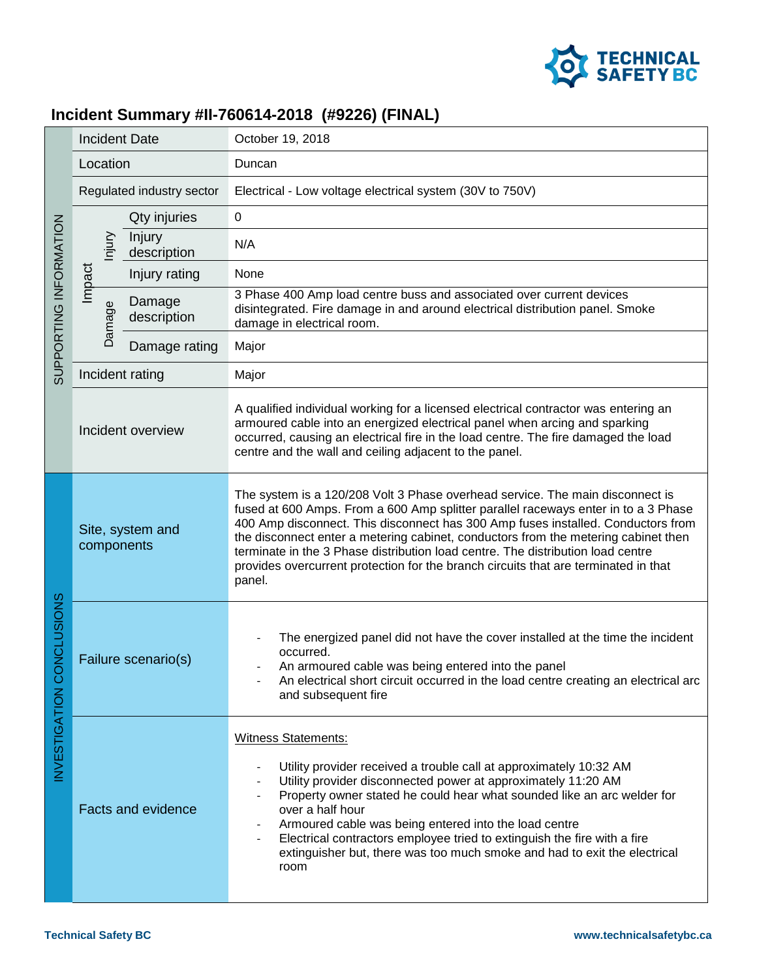

## **Incident Summary #II-760614-2018 (#9226) (FINAL)**

| SUPPORTING INFORMATION                        | <b>Incident Date</b>           |                       | October 19, 2018                                                                                                                                                                                                                                                                                                                                                                                                                                                                                                                  |
|-----------------------------------------------|--------------------------------|-----------------------|-----------------------------------------------------------------------------------------------------------------------------------------------------------------------------------------------------------------------------------------------------------------------------------------------------------------------------------------------------------------------------------------------------------------------------------------------------------------------------------------------------------------------------------|
|                                               | Location                       |                       | Duncan                                                                                                                                                                                                                                                                                                                                                                                                                                                                                                                            |
|                                               | Regulated industry sector      |                       | Electrical - Low voltage electrical system (30V to 750V)                                                                                                                                                                                                                                                                                                                                                                                                                                                                          |
|                                               |                                | Qty injuries          | $\mathbf 0$                                                                                                                                                                                                                                                                                                                                                                                                                                                                                                                       |
|                                               | njury                          | Injury<br>description | N/A                                                                                                                                                                                                                                                                                                                                                                                                                                                                                                                               |
|                                               | Impact                         | Injury rating         | None                                                                                                                                                                                                                                                                                                                                                                                                                                                                                                                              |
|                                               | Damage                         | Damage<br>description | 3 Phase 400 Amp load centre buss and associated over current devices<br>disintegrated. Fire damage in and around electrical distribution panel. Smoke<br>damage in electrical room.                                                                                                                                                                                                                                                                                                                                               |
|                                               |                                | Damage rating         | Major                                                                                                                                                                                                                                                                                                                                                                                                                                                                                                                             |
|                                               | Incident rating                |                       | Major                                                                                                                                                                                                                                                                                                                                                                                                                                                                                                                             |
|                                               | Incident overview              |                       | A qualified individual working for a licensed electrical contractor was entering an<br>armoured cable into an energized electrical panel when arcing and sparking<br>occurred, causing an electrical fire in the load centre. The fire damaged the load<br>centre and the wall and ceiling adjacent to the panel.                                                                                                                                                                                                                 |
| ONCLUSIONS<br>$\circ$<br><b>INVESTIGATION</b> | Site, system and<br>components |                       | The system is a 120/208 Volt 3 Phase overhead service. The main disconnect is<br>fused at 600 Amps. From a 600 Amp splitter parallel raceways enter in to a 3 Phase<br>400 Amp disconnect. This disconnect has 300 Amp fuses installed. Conductors from<br>the disconnect enter a metering cabinet, conductors from the metering cabinet then<br>terminate in the 3 Phase distribution load centre. The distribution load centre<br>provides overcurrent protection for the branch circuits that are terminated in that<br>panel. |
|                                               | Failure scenario(s)            |                       | The energized panel did not have the cover installed at the time the incident<br>occurred.<br>An armoured cable was being entered into the panel<br>An electrical short circuit occurred in the load centre creating an electrical arc<br>and subsequent fire                                                                                                                                                                                                                                                                     |
|                                               | <b>Facts and evidence</b>      |                       | <b>Witness Statements:</b><br>Utility provider received a trouble call at approximately 10:32 AM<br>Utility provider disconnected power at approximately 11:20 AM<br>Property owner stated he could hear what sounded like an arc welder for<br>over a half hour<br>Armoured cable was being entered into the load centre<br>Electrical contractors employee tried to extinguish the fire with a fire<br>extinguisher but, there was too much smoke and had to exit the electrical<br>room                                        |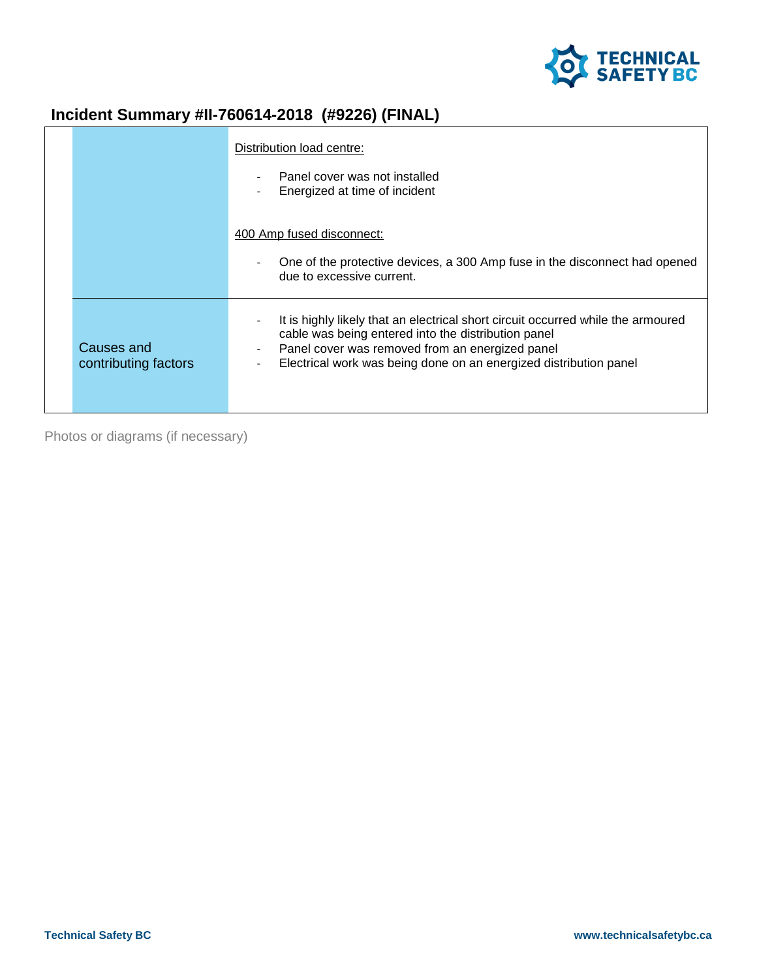

## **Incident Summary #II-760614-2018 (#9226) (FINAL)**

|                                    | Distribution load centre:                                                                                                                                                                                                                                       |
|------------------------------------|-----------------------------------------------------------------------------------------------------------------------------------------------------------------------------------------------------------------------------------------------------------------|
|                                    | Panel cover was not installed<br>Energized at time of incident                                                                                                                                                                                                  |
|                                    | 400 Amp fused disconnect:<br>One of the protective devices, a 300 Amp fuse in the disconnect had opened<br>due to excessive current.                                                                                                                            |
| Causes and<br>contributing factors | It is highly likely that an electrical short circuit occurred while the armoured<br>cable was being entered into the distribution panel<br>Panel cover was removed from an energized panel<br>Electrical work was being done on an energized distribution panel |

Photos or diagrams (if necessary)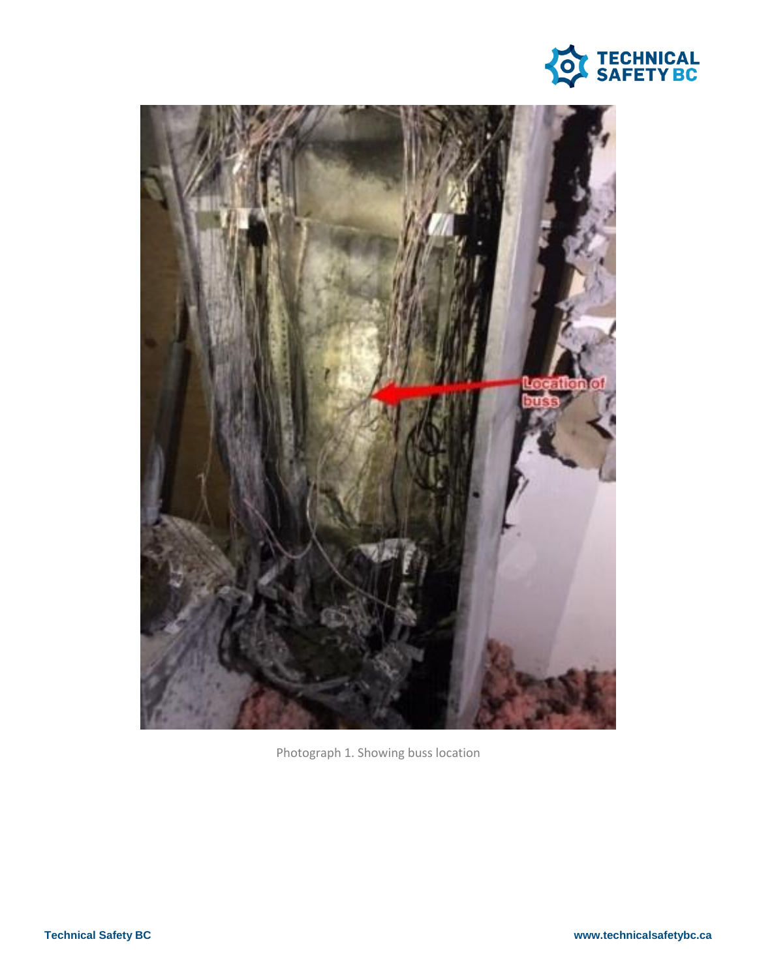



Photograph 1. Showing buss location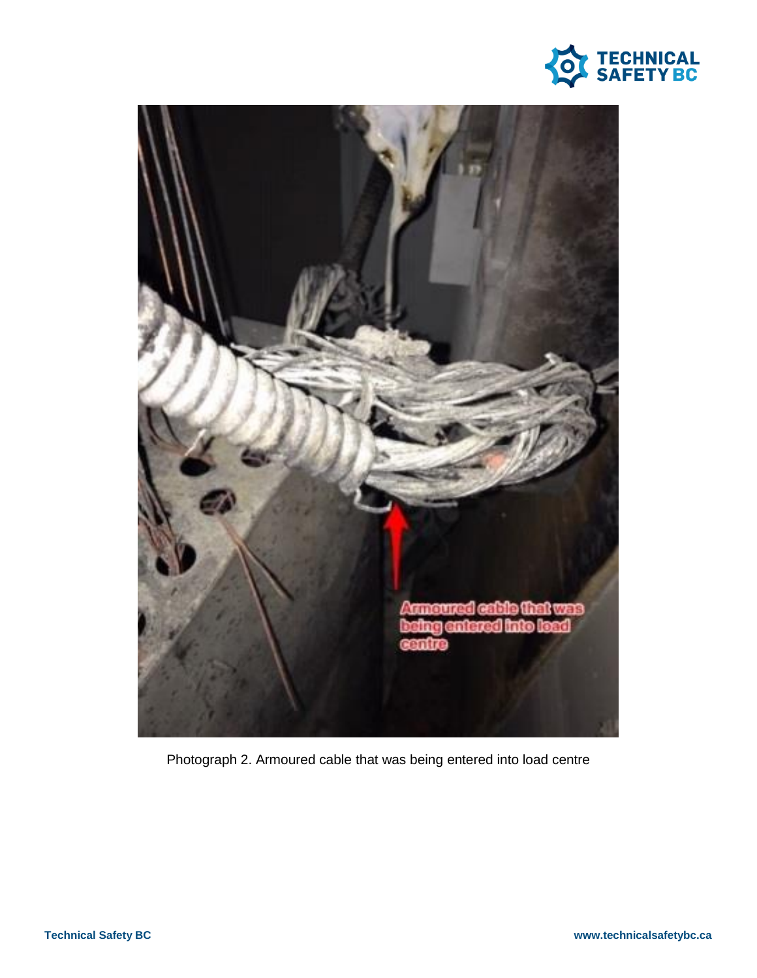



Photograph 2. Armoured cable that was being entered into load centre